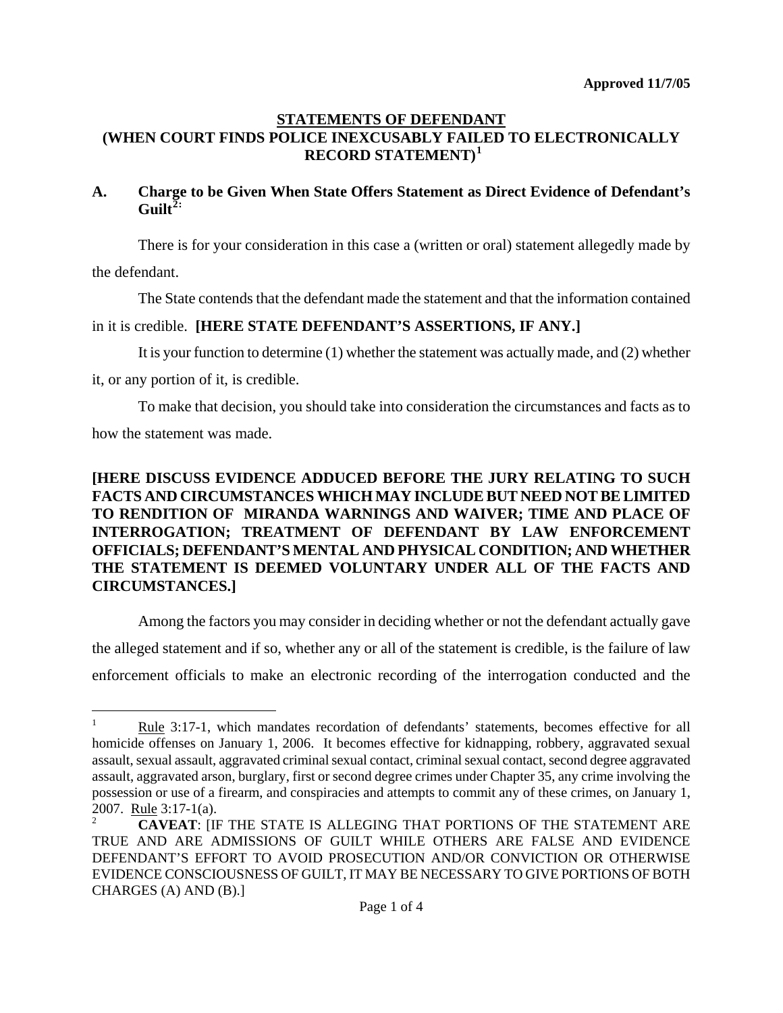## **STATEMENTS OF DEFENDANT (WHEN COURT FINDS POLICE INEXCUSABLY FAILED TO ELECTRONICALLY RECORD STATEMENT)[1](#page-0-0)**

## **A. Charge to be Given When State Offers Statement as Direct Evidence of Defendant's Guilt[2](#page-0-1):**

There is for your consideration in this case a (written or oral) statement allegedly made by

the defendant.

The State contends that the defendant made the statement and that the information contained

## in it is credible. **[HERE STATE DEFENDANT'S ASSERTIONS, IF ANY.]**

It is your function to determine (1) whether the statement was actually made, and (2) whether

it, or any portion of it, is credible.

To make that decision, you should take into consideration the circumstances and facts as to how the statement was made.

## **[HERE DISCUSS EVIDENCE ADDUCED BEFORE THE JURY RELATING TO SUCH FACTS AND CIRCUMSTANCES WHICH MAY INCLUDE BUT NEED NOT BE LIMITED TO RENDITION OF MIRANDA WARNINGS AND WAIVER; TIME AND PLACE OF INTERROGATION; TREATMENT OF DEFENDANT BY LAW ENFORCEMENT OFFICIALS; DEFENDANT'S MENTAL AND PHYSICAL CONDITION; AND WHETHER THE STATEMENT IS DEEMED VOLUNTARY UNDER ALL OF THE FACTS AND CIRCUMSTANCES.]**

Among the factors you may consider in deciding whether or not the defendant actually gave the alleged statement and if so, whether any or all of the statement is credible, is the failure of law enforcement officials to make an electronic recording of the interrogation conducted and the

<span id="page-0-0"></span>i<br>Li 1 Rule 3:17-1, which mandates recordation of defendants' statements, becomes effective for all homicide offenses on January 1, 2006. It becomes effective for kidnapping, robbery, aggravated sexual assault, sexual assault, aggravated criminal sexual contact, criminal sexual contact, second degree aggravated assault, aggravated arson, burglary, first or second degree crimes under Chapter 35, any crime involving the possession or use of a firearm, and conspiracies and attempts to commit any of these crimes, on January 1, 2007. Rule 3:17-1(a).

<span id="page-0-1"></span><sup>2</sup> **CAVEAT**: [IF THE STATE IS ALLEGING THAT PORTIONS OF THE STATEMENT ARE TRUE AND ARE ADMISSIONS OF GUILT WHILE OTHERS ARE FALSE AND EVIDENCE DEFENDANT'S EFFORT TO AVOID PROSECUTION AND/OR CONVICTION OR OTHERWISE EVIDENCE CONSCIOUSNESS OF GUILT, IT MAY BE NECESSARY TO GIVE PORTIONS OF BOTH CHARGES (A) AND (B).]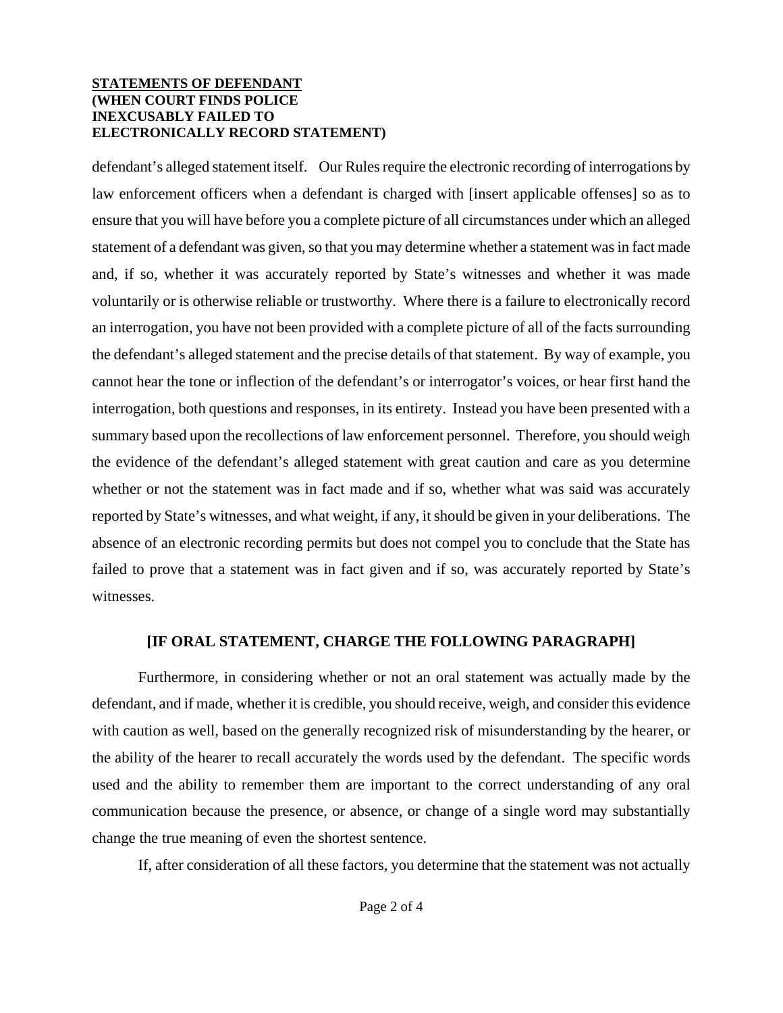### **STATEMENTS OF DEFENDANT (WHEN COURT FINDS POLICE INEXCUSABLY FAILED TO ELECTRONICALLY RECORD STATEMENT)**

defendant's alleged statement itself. Our Rules require the electronic recording of interrogations by law enforcement officers when a defendant is charged with [insert applicable offenses] so as to ensure that you will have before you a complete picture of all circumstances under which an alleged statement of a defendant was given, so that you may determine whether a statement was in fact made and, if so, whether it was accurately reported by State's witnesses and whether it was made voluntarily or is otherwise reliable or trustworthy. Where there is a failure to electronically record an interrogation, you have not been provided with a complete picture of all of the facts surrounding the defendant's alleged statement and the precise details of that statement. By way of example, you cannot hear the tone or inflection of the defendant's or interrogator's voices, or hear first hand the interrogation, both questions and responses, in its entirety. Instead you have been presented with a summary based upon the recollections of law enforcement personnel. Therefore, you should weigh the evidence of the defendant's alleged statement with great caution and care as you determine whether or not the statement was in fact made and if so, whether what was said was accurately reported by State's witnesses, and what weight, if any, it should be given in your deliberations. The absence of an electronic recording permits but does not compel you to conclude that the State has failed to prove that a statement was in fact given and if so, was accurately reported by State's witnesses.

## **[IF ORAL STATEMENT, CHARGE THE FOLLOWING PARAGRAPH]**

Furthermore, in considering whether or not an oral statement was actually made by the defendant, and if made, whether it is credible, you should receive, weigh, and consider this evidence with caution as well, based on the generally recognized risk of misunderstanding by the hearer, or the ability of the hearer to recall accurately the words used by the defendant. The specific words used and the ability to remember them are important to the correct understanding of any oral communication because the presence, or absence, or change of a single word may substantially change the true meaning of even the shortest sentence.

If, after consideration of all these factors, you determine that the statement was not actually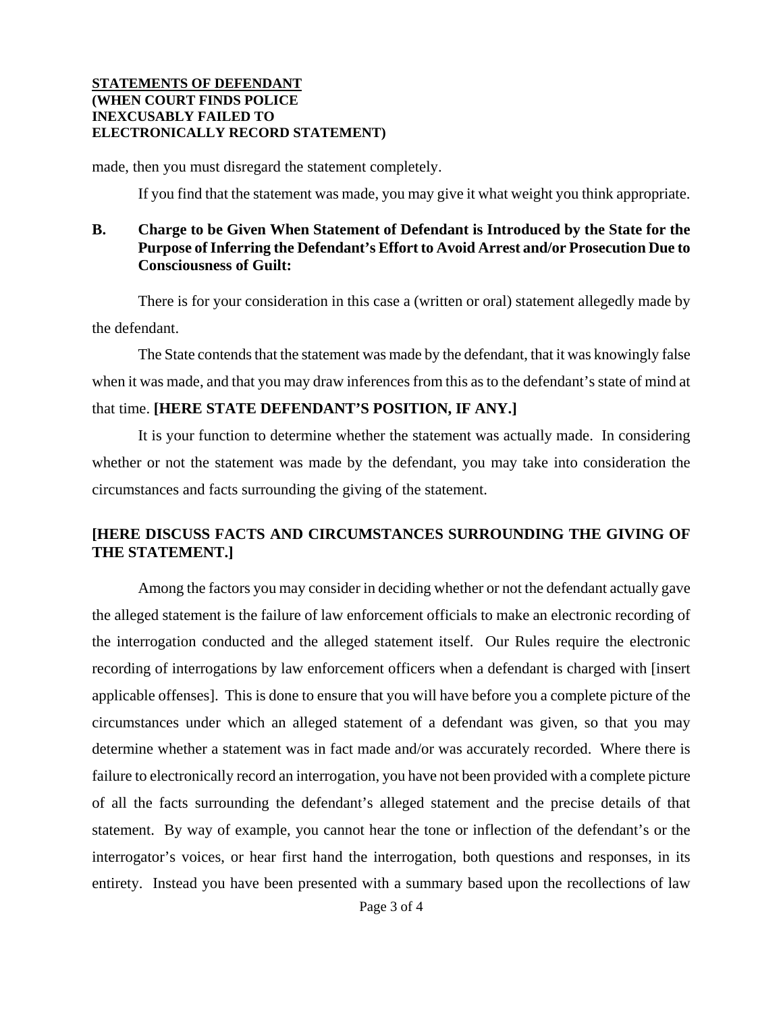#### **STATEMENTS OF DEFENDANT (WHEN COURT FINDS POLICE INEXCUSABLY FAILED TO ELECTRONICALLY RECORD STATEMENT)**

made, then you must disregard the statement completely.

If you find that the statement was made, you may give it what weight you think appropriate.

## **B. Charge to be Given When Statement of Defendant is Introduced by the State for the Purpose of Inferring the Defendant's Effort to Avoid Arrest and/or Prosecution Due to Consciousness of Guilt:**

There is for your consideration in this case a (written or oral) statement allegedly made by the defendant.

The State contends that the statement was made by the defendant, that it was knowingly false when it was made, and that you may draw inferences from this as to the defendant's state of mind at that time. **[HERE STATE DEFENDANT'S POSITION, IF ANY.]** 

It is your function to determine whether the statement was actually made. In considering whether or not the statement was made by the defendant, you may take into consideration the circumstances and facts surrounding the giving of the statement.

# **[HERE DISCUSS FACTS AND CIRCUMSTANCES SURROUNDING THE GIVING OF THE STATEMENT.]**

Among the factors you may consider in deciding whether or not the defendant actually gave the alleged statement is the failure of law enforcement officials to make an electronic recording of the interrogation conducted and the alleged statement itself. Our Rules require the electronic recording of interrogations by law enforcement officers when a defendant is charged with [insert applicable offenses]. This is done to ensure that you will have before you a complete picture of the circumstances under which an alleged statement of a defendant was given, so that you may determine whether a statement was in fact made and/or was accurately recorded. Where there is failure to electronically record an interrogation, you have not been provided with a complete picture of all the facts surrounding the defendant's alleged statement and the precise details of that statement. By way of example, you cannot hear the tone or inflection of the defendant's or the interrogator's voices, or hear first hand the interrogation, both questions and responses, in its entirety. Instead you have been presented with a summary based upon the recollections of law